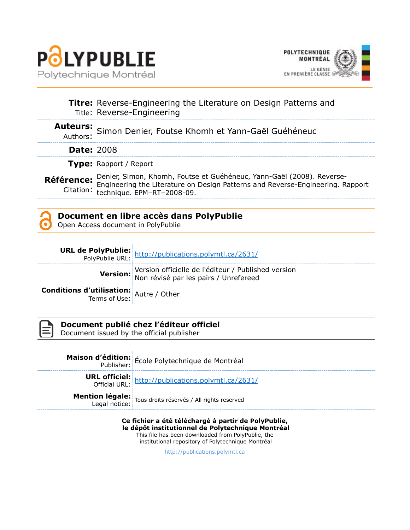



|                   | <b>Titre:</b> Reverse-Engineering the Literature on Design Patterns and<br>Title: Reverse-Engineering                                                                                                                       |
|-------------------|-----------------------------------------------------------------------------------------------------------------------------------------------------------------------------------------------------------------------------|
|                   | Auteurs: Simon Denier, Foutse Khomh et Yann-Gaël Guéhéneuc                                                                                                                                                                  |
| <b>Date: 2008</b> |                                                                                                                                                                                                                             |
|                   | <b>Type: Rapport / Report</b>                                                                                                                                                                                               |
|                   | <b>Référence:</b> Denier, Simon, Khomh, Foutse et Guéhéneuc, Yann-Gaël (2008). Reverse-<br>Citation: Engineering the Literature on Design Patterns and Reverse-Engineering. Rapport<br>Citation: technique. EPM-RT-2008-09. |

### **Document en libre accès dans PolyPublie**

Open Access document in PolyPublie

|                                                | <b>URL de PolyPublie:</b><br>PolyPublie URL: http://publications.polymtl.ca/2631/            |
|------------------------------------------------|----------------------------------------------------------------------------------------------|
|                                                | Version officielle de l'éditeur / Published version<br>Non révisé par les pairs / Unrefereed |
| <b>Conditions d'utilisation:</b> Autre / Other |                                                                                              |



### **Document publié chez l'éditeur officiel**

Document issued by the official publisher

| <b>Maison d'édition:</b> École Polytechnique de Montréal                                                        |
|-----------------------------------------------------------------------------------------------------------------|
| <b>URL officiel:</b> http://publications.polymtl.ca/2631/<br>Official URL: http://publications.polymtl.ca/2631/ |
| <b>Mention légale:</b><br>Legal notice: Tous droits réservés / All rights reserved                              |

### **Ce fichier a été téléchargé à partir de PolyPublie,**

**le dépôt institutionnel de Polytechnique Montréal** This file has been downloaded from PolyPublie, the

institutional repository of Polytechnique Montréal

[http://publications.polymtl.ca](http://publications.polymtl.ca/)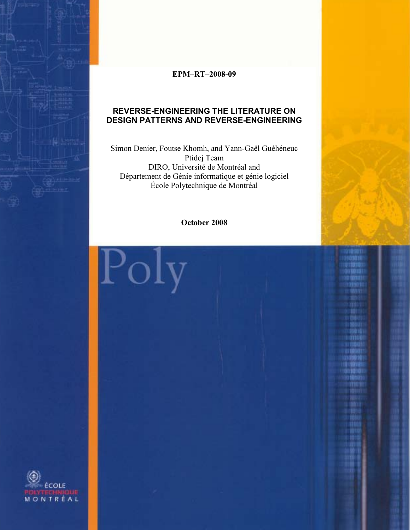

### **EPM–RT–2008-09**

### **REVERSE-ENGINEERING THE LITERATURE ON DESIGN PATTERNS AND REVERSE-ENGINEERING**

Simon Denier, Foutse Khomh, and Yann-Gaël Guéhéneuc Ptidej Team DIRO, Université de Montréal and Département de Génie informatique et génie logiciel École Polytechnique de Montréal

**October 2008**

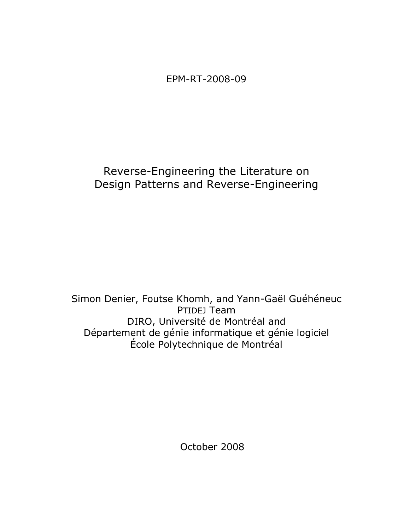EPM-RT-2008-09

### Reverse-Engineering the Literature on Design Patterns and Reverse-Engineering

Simon Denier, Foutse Khomh, and Yann-Gaël Guéhéneuc PTIDEJ Team DIRO, Université de Montréal and Département de génie informatique et génie logiciel École Polytechnique de Montréal

October 2008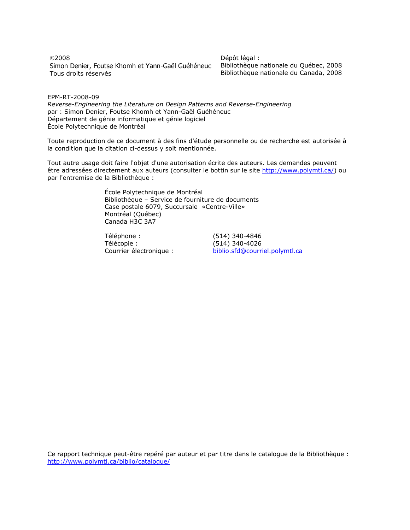2008 Simon Denier, Foutse Khomh et Yann-Gaël Guéhéneuc Tous droits réservés

Dépôt légal : Bibliothèque nationale du Québec, 2008 Bibliothèque nationale du Canada, 2008

EPM-RT-2008-09

*Reverse-Engineering the Literature on Design Patterns and Reverse-Engineering* par : Simon Denier, Foutse Khomh et Yann-Gaël Guéhéneuc Département de génie informatique et génie logiciel École Polytechnique de Montréal

Toute reproduction de ce document à des fins d'étude personnelle ou de recherche est autorisée à la condition que la citation ci-dessus y soit mentionnée.

Tout autre usage doit faire l'objet d'une autorisation écrite des auteurs. Les demandes peuvent être adressées directement aux auteurs (consulter le bottin sur le site [http://www.polymtl.ca/\)](http://www.polymtl.ca/) ou par l'entremise de la Bibliothèque :

> École Polytechnique de Montréal Bibliothèque – Service de fourniture de documents Case postale 6079, Succursale «Centre-Ville» Montréal (Québec) Canada H3C 3A7

Téléphone : (514) 340-4846 Télécopie :<br>Courrier électronique : (514) 340-4026<br>biblio.sfd@courr

[biblio.sfd@courriel.polymtl.ca](mailto:biblio.sfd@courriel.polymtl.ca)

Ce rapport technique peut-être repéré par auteur et par titre dans le catalogue de la Bibliothèque : <http://www.polymtl.ca/biblio/catalogue/>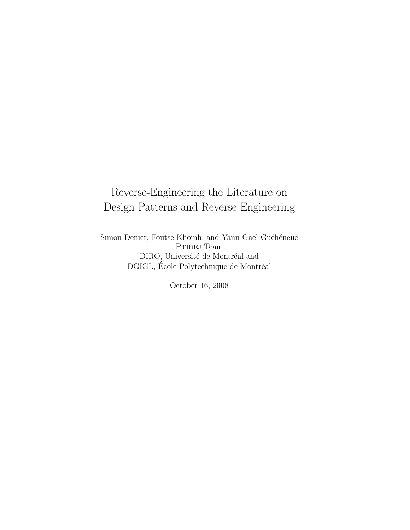## Reverse-Engineering the Literature on Design Patterns and Reverse-Engineering

Simon Denier, Foutse Khomh, and Yann-Gaël Guéhéneuc PTIDEJ Team DIRO, Université de Montréal and DGIGL, École Polytechnique de Montréal

October 16, 2008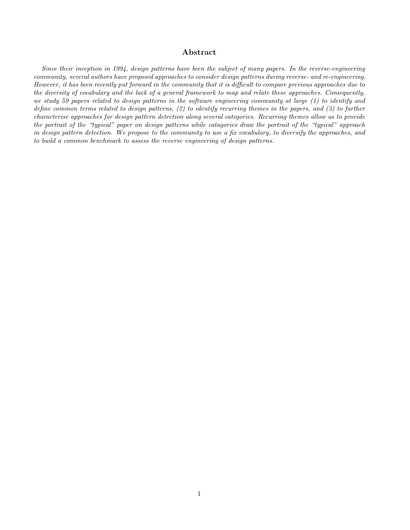#### Abstract

Since their inception in 1994, design patterns have been the subject of many papers. In the reverse-engineering community, several authors have proposed approaches to consider design patterns during reverse- and re-engineering. However, it has been recently put forward in the community that it is difficult to compare previous approaches due to the diversity of vocabulary and the lack of a general framework to map and relate these approaches. Consequently, we study 59 papers related to design patterns in the software engineering community at large (1) to identify and define common terms related to design patterns, (2) to identify recurring themes in the papers, and (3) to further characterise approaches for design pattern detection along several categories. Recurring themes allow us to provide the portrait of the "typical" paper on design patterns while catagories draw the portrait of the "typical" approach in design pattern detection. We propose to the community to use a fix vocabulary, to diversify the approaches, and to build a common benchmark to assess the reverse engineering of design patterns.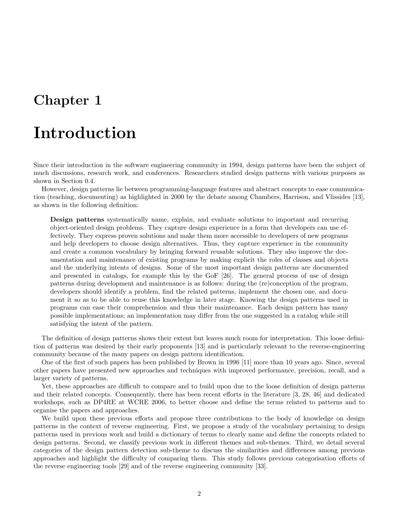# Introduction

Since their introduction in the software engineering community in 1994, design patterns have been the subject of much discussions, research work, and conferences. Researchers studied design patterns with various purposes as shown in Section 0.4.

However, design patterns lie between programming-language features and abstract concepts to ease communication (teaching, documenting) as highlighted in 2000 by the debate among Chambers, Harrison, and Vlissides [13], as shown in the following definition:

Design patterns systematically name, explain, and evaluate solutions to important and recurring object-oriented design problems. They capture design experience in a form that developers can use effectively. They express proven solutions and make them more accessible to developers of new programs and help developers to choose design alternatives. Thus, they capture experience in the community and create a common vocabulary by bringing forward reusable solutions. They also improve the documentation and maintenance of existing programs by making explicit the roles of classes and objects and the underlying intents of designs. Some of the most important design patterns are documented and presented in catalogs, for example this by the GoF [26]. The general process of use of design patterns during development and maintenance is as follows: during the (re)conception of the program, developers should identify a problem, find the related patterns, implement the chosen one, and document it so as to be able to reuse this knowledge in later stage. Knowing the design patterns used in programs can ease their comprehension and thus their maintenance. Each design pattern has many possible implementations; an implementation may differ from the one suggested in a catalog while still satisfying the intent of the pattern.

The definition of design patterns shows their extent but leaves much room for interpretation. This loose definition of patterns was desired by their early proponents [13] and is particularly relevant to the reverse-engineering community because of the many papers on design pattern identification.

One of the first of such papers has been published by Brown in 1996 [11] more than 10 years ago. Since, several other papers have presented new approaches and techniques with improved performance, precision, recall, and a larger variety of patterns.

Yet, these approaches are difficult to compare and to build upon due to the loose definition of design patterns and their related concepts. Consequently, there has been recent efforts in the literature [3, 28, 46] and dedicated workshops, such as DP4RE at WCRE 2006, to better choose and define the terms related to patterns and to organise the papers and approaches.

We build upon these previous efforts and propose three contributions to the body of knowledge on design patterns in the context of reverse engineering. First, we propose a study of the vocabulary pertaining to design patterns used in previous work and build a dictionary of terms to clearly name and define the concepts related to design patterns. Second, we classify previous work in different themes and sub-themes. Third, we detail several categories of the design pattern detection sub-theme to discuss the similarities and differences among previous approaches and highlight the difficulty of comparing them. This study follows previous categorisation efforts of the reverse engineering tools [29] and of the reverse engineering community [33].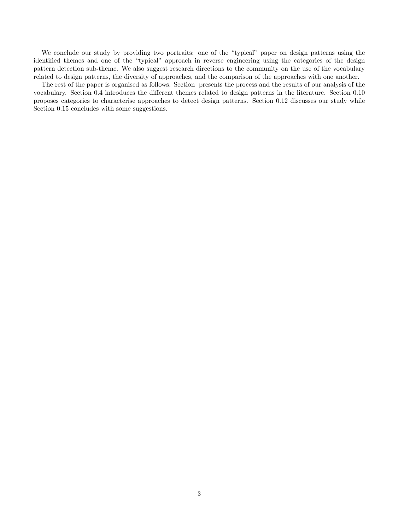We conclude our study by providing two portraits: one of the "typical" paper on design patterns using the identified themes and one of the "typical" approach in reverse engineering using the categories of the design pattern detection sub-theme. We also suggest research directions to the community on the use of the vocabulary related to design patterns, the diversity of approaches, and the comparison of the approaches with one another.

The rest of the paper is organised as follows. Section presents the process and the results of our analysis of the vocabulary. Section 0.4 introduces the different themes related to design patterns in the literature. Section 0.10 proposes categories to characterise approaches to detect design patterns. Section 0.12 discusses our study while Section 0.15 concludes with some suggestions.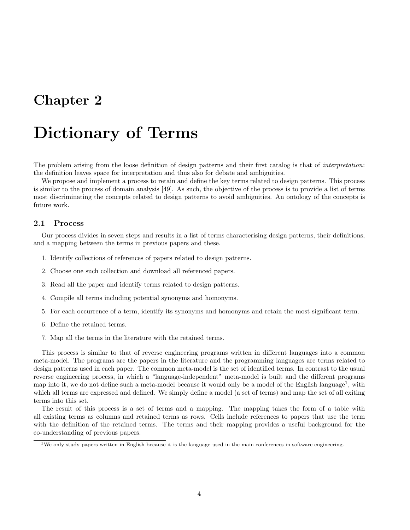# Dictionary of Terms

The problem arising from the loose definition of design patterns and their first catalog is that of *interpretation*: the definition leaves space for interpretation and thus also for debate and ambiguities.

We propose and implement a process to retain and define the key terms related to design patterns. This process is similar to the process of domain analysis [49]. As such, the objective of the process is to provide a list of terms most discriminating the concepts related to design patterns to avoid ambiguities. An ontology of the concepts is future work.

#### 2.1 Process

Our process divides in seven steps and results in a list of terms characterising design patterns, their definitions, and a mapping between the terms in previous papers and these.

- 1. Identify collections of references of papers related to design patterns.
- 2. Choose one such collection and download all referenced papers.
- 3. Read all the paper and identify terms related to design patterns.
- 4. Compile all terms including potential synonyms and homonyms.
- 5. For each occurrence of a term, identify its synonyms and homonyms and retain the most significant term.
- 6. Define the retained terms.
- 7. Map all the terms in the literature with the retained terms.

This process is similar to that of reverse engineering programs written in different languages into a common meta-model. The programs are the papers in the literature and the programming languages are terms related to design patterns used in each paper. The common meta-model is the set of identified terms. In contrast to the usual reverse engineering process, in which a "language-independent" meta-model is built and the different programs map into it, we do not define such a meta-model because it would only be a model of the English language<sup>1</sup>, with which all terms are expressed and defined. We simply define a model (a set of terms) and map the set of all exiting terms into this set.

The result of this process is a set of terms and a mapping. The mapping takes the form of a table with all existing terms as columns and retained terms as rows. Cells include references to papers that use the term with the definition of the retained terms. The terms and their mapping provides a useful background for the co-understanding of previous papers.

<sup>&</sup>lt;sup>1</sup>We only study papers written in English because it is the language used in the main conferences in software engineering.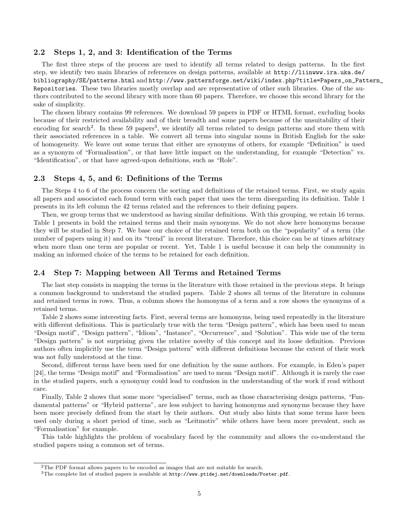#### 2.2 Steps 1, 2, and 3: Identification of the Terms

The first three steps of the process are used to identify all terms related to design patterns. In the first step, we identify two main libraries of references on design patterns, available at http://liinwww.ira.uka.de/ bibliography/SE/patterns.html and http://www.patternforge.net/wiki/index.php?title=Papers\_on\_Pattern\_ Repositories. These two libraries mostly overlap and are representative of other such libraries. One of the authors contributed to the second library with more than 60 papers. Therefore, we choose this second library for the sake of simplicity.

The chosen library contains 99 references. We download 59 papers in PDF or HTML format, excluding books because of their restricted availability and of their breadth and some papers because of the unsuitability of their encoding for search<sup>2</sup>. In these 59 papers<sup>3</sup>, we identify all terms related to design patterns and store them with their associated references in a table. We convert all terms into singular nouns in British English for the sake of homogeneity. We leave out some terms that either are synonyms of others, for example "Definition" is used as a synonym of "Formalisation", or that have little impact on the understanding, for example "Detection" vs. "Identification", or that have agreed-upon definitions, such as "Role".

#### 2.3 Steps 4, 5, and 6: Definitions of the Terms

The Steps 4 to 6 of the process concern the sorting and definitions of the retained terms. First, we study again all papers and associated each found term with each paper that uses the term disregarding its definition. Table 1 presents in its left column the 42 terms related and the references to their defining papers.

Then, we group terms that we understood as having similar definitions. With this grouping, we retain 16 terms. Table 1 presents in bold the retained terms and their main synonyms. We do not show here homonyms because they will be studied in Step 7. We base our choice of the retained term both on the "popularity" of a term (the number of papers using it) and on its "trend" in recent literature. Therefore, this choice can be at times arbitrary when more than one term are popular or recent. Yet, Table 1 is useful because it can help the community in making an informed choice of the terms to be retained for each definition.

#### 2.4 Step 7: Mapping between All Terms and Retained Terms

The last step consists in mapping the terms in the literature with those retained in the previous steps. It brings a common background to understand the studied papers. Table 2 shows all terms of the literature in columns and retained terms in rows. Thus, a column shows the homonyms of a term and a row shows the synonyms of a retained terms.

Table 2 shows some interesting facts. First, several terms are homonyms, being used repeatedly in the literature with different definitions. This is particularly true with the term "Design pattern", which has been used to mean "Design motif", "Design pattern", "Idiom", "Instance", "Occurrence", and "Solution". This wide use of the term "Design pattern" is not surprising given the relative novelty of this concept and its loose definition. Previous authors often implicitly use the term "Design pattern" with different definitions because the extent of their work was not fully understood at the time.

Second, different terms have been used for one definition by the same authors. For example, in Eden's paper [24], the terms "Design motif" and "Formalisation" are used to mean "Design motif". Although it is rarely the case in the studied papers, such a synonymy could lead to confusion in the understanding of the work if read without care.

Finally, Table 2 shows that some more "specialised" terms, such as those characterising design patterns, "Fundamental patterns" or "Hybrid patterns", are less subject to having homonyms and synonyms because they have been more precisely defined from the start by their authors. Out study also hints that some terms have been used only during a short period of time, such as "Leitmotiv" while others have been more prevalent, such as "Formalisation" for example.

This table highlights the problem of vocabulary faced by the community and allows the co-understand the studied papers using a common set of terms.

<sup>&</sup>lt;sup>2</sup>The PDF format allows papers to be encoded as images that are not suitable for search.

<sup>3</sup>The complete list of studied papers is available at http://www.ptidej.net/downloads/Poster.pdf.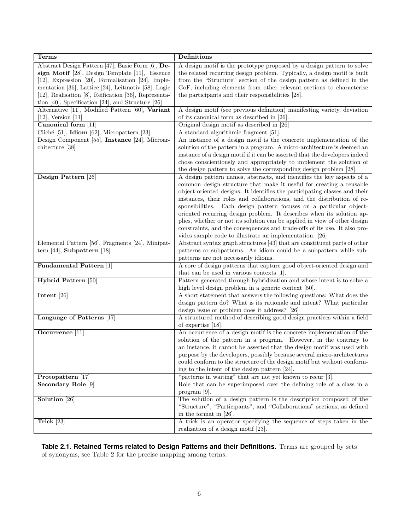| <b>Terms</b>                                              | Definitions                                                                                                |
|-----------------------------------------------------------|------------------------------------------------------------------------------------------------------------|
| Abstract Design Pattern [47], Basic Form [6], De-         | A design motif is the prototype proposed by a design pattern to solve                                      |
| sign Motif [28], Design Template [11], Essence            | the related recurring design problem. Typically, a design motif is built                                   |
| [12], Expression [20], Formalisation [24], Imple-         | from the "Structure" section of the design pattern as defined in the                                       |
| mentation [36], Lattice [24], Leitmotiv [58], Logic       | GoF, including elements from other relevant sections to characterise                                       |
| [12], Realisation [8], Reification [36], Representa-      | the participants and their responsibilities [28].                                                          |
| tion $[40]$ , Specification $[24]$ , and Structure $[26]$ |                                                                                                            |
| Alternative [11], Modified Pattern [60], Variant          | A design motif (see previous definition) manifesting variety, deviation                                    |
| $[12]$ , Version $[11]$                                   | of its canonical form as described in [26].                                                                |
| Canonical form [11]                                       | Original design motif as described in [26]                                                                 |
| Cliché [51], Idiom [62], Micropattern [23]                | A standard algorithmic fragment [51].                                                                      |
| Design Component [55], Instance [24], Microar-            | An instance of a design motif is the concrete implementation of the                                        |
| chitecture [38]                                           | solution of the pattern in a program. A micro-architecture is deemed an                                    |
|                                                           | instance of a design motif if it can be asserted that the developers indeed                                |
|                                                           | chose conscientiously and appropriately to implement the solution of                                       |
|                                                           | the design pattern to solve the corresponding design problem [28].                                         |
| Design Pattern [26]                                       | A design pattern names, abstracts, and identifies the key aspects of a                                     |
|                                                           | common design structure that make it useful for creating a reusable                                        |
|                                                           | object-oriented designs. It identifies the participating classes and their                                 |
|                                                           | instances, their roles and collaborations, and the distribution of re-                                     |
|                                                           | sponsibilities. Each design pattern focuses on a particular object-                                        |
|                                                           | oriented recurring design problem. It describes when its solution ap-                                      |
|                                                           | plies, whether or not its solution can be applied in view of other design                                  |
|                                                           | constraints, and the consequences and trade-offs of its use. It also pro-                                  |
|                                                           | vides sample code to illustrate an implementation. [26]                                                    |
| Elemental Pattern [56], Fragments [24], Minipat-          | Abstract syntax graph structures [43] that are constituent parts of other                                  |
| tern $[44]$ , Subpattern $[18]$                           | patterns or subpatterns. An idiom could be a subpattern while sub-<br>patterns are not necessarily idioms. |
| Fundamental Pattern [1]                                   | A core of design patterns that capture good object-oriented design and                                     |
|                                                           | that can be used in various contexts [1].                                                                  |
| Hybrid Pattern [50]                                       | Pattern generated through hybridization and whose intent is to solve a                                     |
|                                                           | high level design problem in a generic context [50].                                                       |
| Intent [26]                                               | A short statement that answers the following questions: What does the                                      |
|                                                           | design pattern do? What is its rationale and intent? What particular                                       |
|                                                           | design issue or problem does it address? [26]                                                              |
| Language of Patterns [17]                                 | A structured method of describing good design practices within a field                                     |
|                                                           | of expertise $[18]$ .                                                                                      |
| Occurrence [11]                                           | An occurrence of a design motif is the concrete implementation of the                                      |
|                                                           | solution of the pattern in a program. However, in the contrary to                                          |
|                                                           | an instance, it cannot be asserted that the design motif was used with                                     |
|                                                           | purpose by the developers, possibly because several micro-architectures                                    |
|                                                           | could conform to the structure of the design motif but without conform-                                    |
|                                                           | ing to the intent of the design pattern [24].                                                              |
| Protopattern [17]                                         | "patterns in waiting" that are not yet known to recur [3].                                                 |
| Secondary Role [9]                                        | Role that can be superimposed over the defining role of a class in a                                       |
|                                                           | program $[9]$ .                                                                                            |
| Solution [26]                                             | The solution of a design pattern is the description composed of the                                        |
|                                                           | "Structure", "Participants", and "Collaborations" sections, as defined                                     |
|                                                           | in the format in $[26]$ .                                                                                  |
| Trick [23]                                                | A trick is an operator specifying the sequence of steps taken in the                                       |
|                                                           | realization of a design motif [23].                                                                        |

**Table 2.1. Retained Terms related to Design Patterns and their Definitions.** Terms are grouped by sets of synonyms, see Table 2 for the precise mapping among terms.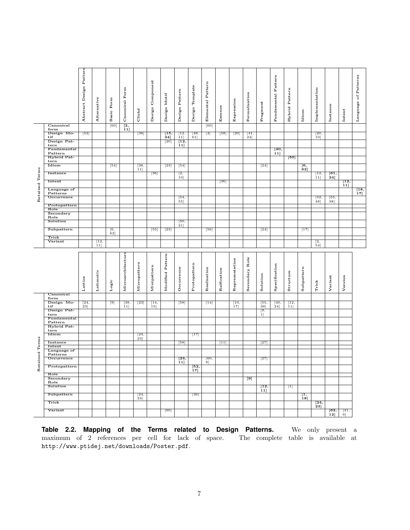|                                |                         | Design Pattern<br>Abstract | Alternative | Basic Form            | Canonical Form    | Cliché               | Design Component | Design Motif     | Design Pattern           | Design Template | Elemental Pattern | Essence     | Expression     | Formalisation    | Fragment          | Fundamental Pattern | Hybrid Pattern  | Idiom                                   | Implementation         | Instance          | Intent  | of Patterns<br>Language                |
|--------------------------------|-------------------------|----------------------------|-------------|-----------------------|-------------------|----------------------|------------------|------------------|--------------------------|-----------------|-------------------|-------------|----------------|------------------|-------------------|---------------------|-----------------|-----------------------------------------|------------------------|-------------------|---------|----------------------------------------|
|                                | Canonical               |                            |             | [60]                  | $\overline{[2,]}$ |                      |                  |                  |                          |                 | [60]              |             |                |                  |                   |                     |                 |                                         |                        |                   |         |                                        |
|                                | form<br>Design Mo-      | [52]                       |             |                       | 11]               | $[38]$               |                  | $\overline{15,}$ | [12,                     | [48,            | $[4]$             | $[58]$      | [20]           | [41,             |                   |                     |                 |                                         | [20,                   |                   |         |                                        |
|                                | tif<br>Design Pat-      |                            |             |                       |                   |                      |                  | 24]              | $11$ ]                   | 61]             |                   |             |                | 24]              |                   |                     |                 |                                         | $10$ ]                 |                   |         |                                        |
|                                | tern                    |                            |             |                       |                   |                      |                  | [20]             | $\overline{[12,}$<br>11] |                 |                   |             |                |                  |                   |                     |                 |                                         |                        |                   |         |                                        |
|                                | Fundamental<br>Pattern  |                            |             |                       |                   |                      |                  |                  |                          |                 |                   |             |                |                  |                   | [40,<br>11]         |                 |                                         |                        |                   |         |                                        |
|                                | Hybrid Pat-             |                            |             |                       |                   |                      |                  |                  |                          |                 |                   |             |                |                  |                   |                     | [50]            |                                         |                        |                   |         |                                        |
|                                | tern<br>Idiom           |                            |             | $\lceil 54 \rceil$    |                   | $\left[ 38, \right.$ |                  | $^{[23]}$        | [54]                     |                 |                   |             |                |                  | $\left[24\right]$ |                     |                 |                                         |                        |                   |         |                                        |
|                                |                         |                            |             |                       |                   | 11]                  |                  |                  |                          |                 |                   |             |                |                  |                   |                     |                 | $\begin{bmatrix} 6, \ 62 \end{bmatrix}$ |                        |                   |         |                                        |
|                                | Instance                |                            |             |                       |                   |                      | [36]             |                  | [2,<br>10]               |                 |                   |             |                |                  |                   |                     |                 |                                         | $\overline{12}$<br>11] | [61,<br>$^{24}$ ] |         |                                        |
|                                | Intent                  |                            |             |                       |                   |                      |                  |                  |                          |                 |                   | [36]        |                |                  |                   |                     |                 |                                         |                        |                   | [12,    |                                        |
| Retained Terms                 | Language of             |                            |             |                       |                   |                      |                  |                  |                          |                 |                   |             |                |                  |                   |                     |                 |                                         |                        |                   | 11]     |                                        |
|                                | Patterns                |                            |             |                       |                   |                      |                  |                  |                          |                 |                   |             |                |                  |                   |                     |                 |                                         |                        |                   |         | $\begin{bmatrix} 18, 17 \end{bmatrix}$ |
|                                | Occurrence              |                            |             |                       |                   |                      |                  |                  | [54,<br>55]              |                 |                   |             |                |                  |                   |                     |                 |                                         | [52,<br>48]            | [55,<br>38]       |         |                                        |
|                                | Protopattern<br>Role    |                            |             |                       |                   |                      |                  |                  |                          |                 |                   |             |                |                  |                   |                     |                 |                                         |                        |                   |         |                                        |
|                                | Secondary               |                            |             |                       |                   |                      |                  |                  |                          |                 |                   |             |                |                  |                   |                     |                 |                                         |                        |                   |         |                                        |
|                                | Role<br>Solution        |                            |             |                       |                   |                      |                  |                  | [50,<br>$21$ ]           |                 |                   |             |                |                  |                   |                     |                 |                                         |                        |                   |         |                                        |
|                                | Subpattern              |                            |             | $\frac{[6,62]}{[62]}$ |                   |                      | [55]             | $[23]$           |                          |                 | [56]              |             |                |                  | $[24]$            |                     |                 | $[17]$                                  |                        |                   |         |                                        |
|                                | Trick                   |                            |             |                       |                   |                      |                  |                  |                          |                 |                   |             |                |                  |                   |                     |                 |                                         |                        |                   |         |                                        |
|                                | Variant                 |                            | [12,        |                       |                   |                      |                  |                  |                          |                 |                   |             |                |                  |                   |                     |                 |                                         | [2,                    |                   |         |                                        |
|                                |                         |                            |             |                       |                   |                      |                  |                  |                          |                 |                   |             |                |                  |                   |                     |                 |                                         |                        |                   |         |                                        |
|                                |                         |                            | 11]         |                       |                   |                      |                  |                  |                          |                 |                   |             |                |                  |                   |                     |                 |                                         | 54]                    |                   |         |                                        |
|                                |                         | Lattice                    | Leitmotiv   | Logic                 | Microarchitecture | Micropattern         | Minipattern      | Modified Pattern | Occurrence               | Protopattern    | Realisation       | Reification | Representation | Secondary Role   | Solution          | Specification       | Structure       | Subpattern                              | Trick                  | Variant           | Version |                                        |
|                                | Canonical<br>form       |                            |             |                       |                   |                      |                  |                  |                          |                 |                   |             |                |                  |                   |                     |                 |                                         |                        |                   |         |                                        |
|                                | Design Mo-              | [24,                       |             | $^{[9]}$              | [38,              | $\boxed{23}$         | [14,             |                  | [58]                     |                 | $[14]$            |             | [10,           |                  | [55,              | [40,                | $\overline{12}$ |                                         |                        |                   |         |                                        |
|                                | tif<br>Design Pat-      | 23]                        |             |                       | $11$ ]            |                      | 15]              |                  |                          |                 |                   |             | 17]            |                  | 38]<br>[9,        | 24]                 | 11]             |                                         |                        |                   |         |                                        |
|                                | tern                    |                            |             |                       |                   |                      |                  |                  |                          |                 |                   |             |                |                  | 1                 |                     |                 |                                         |                        |                   |         |                                        |
|                                | Fundamental<br>Pattern  |                            |             |                       |                   |                      |                  |                  |                          |                 |                   |             |                |                  |                   |                     |                 |                                         |                        |                   |         |                                        |
|                                | Hybrid Pat-<br>tern     |                            |             |                       |                   |                      |                  |                  |                          |                 |                   |             |                |                  |                   |                     |                 |                                         |                        |                   |         |                                        |
|                                | Idiom                   |                            |             |                       |                   | [24,                 |                  |                  |                          | $[17]$          |                   |             |                |                  |                   |                     |                 |                                         |                        |                   |         |                                        |
|                                |                         |                            |             |                       |                   | 23]                  |                  |                  |                          |                 |                   |             |                |                  |                   |                     |                 |                                         |                        |                   |         |                                        |
|                                | Instance<br>Intent      |                            |             |                       |                   |                      |                  |                  | $[58]$                   |                 |                   | $[11]$      |                |                  | $[27]$            |                     |                 |                                         |                        |                   |         |                                        |
|                                | Language of<br>Patterns |                            |             |                       |                   |                      |                  |                  |                          |                 |                   |             |                |                  |                   |                     |                 |                                         |                        |                   |         |                                        |
|                                | Occurrence              |                            |             |                       |                   |                      |                  |                  | $\overline{[24]}$        |                 | [60,              |             |                |                  | $[27]$            |                     |                 |                                         |                        |                   |         |                                        |
| tained Terms<br>R <sub>e</sub> | Protopattern            |                            |             |                       |                   |                      |                  |                  | 11]                      | [52,<br>17]     | 8]                |             |                |                  |                   |                     |                 |                                         |                        |                   |         |                                        |
|                                | Role                    |                            |             |                       |                   |                      |                  |                  |                          |                 |                   |             |                |                  |                   |                     |                 |                                         |                        |                   |         |                                        |
|                                | Secondary<br>Role       |                            |             |                       |                   |                      |                  |                  |                          |                 |                   |             |                | $\overline{[9]}$ |                   |                     |                 |                                         |                        |                   |         |                                        |
|                                | Solution                |                            |             |                       |                   |                      |                  |                  |                          |                 |                   |             |                |                  | [12,<br>11]       |                     | 冚               |                                         |                        |                   |         |                                        |
|                                | Subpattern              |                            |             |                       |                   | [24,                 |                  |                  |                          | [36]            |                   |             |                |                  |                   |                     |                 | Ţ1,                                     |                        |                   |         |                                        |
|                                | Trick                   |                            |             |                       |                   | $23$ ]               |                  |                  |                          |                 |                   |             |                |                  |                   |                     |                 | 18]                                     |                        |                   |         |                                        |
|                                | Variant                 |                            |             |                       |                   |                      |                  | [60]             |                          |                 |                   |             |                |                  |                   |                     |                 |                                         | [24,<br>$23$ ]         | [62,              | [41,    |                                        |

**Table 2.2. Mapping of the Terms related to Design Patterns.** We only present a maximum of 2 references per cell for lack of space. The complete table is available at http://www.ptidej.net/downloads/Poster.pdf.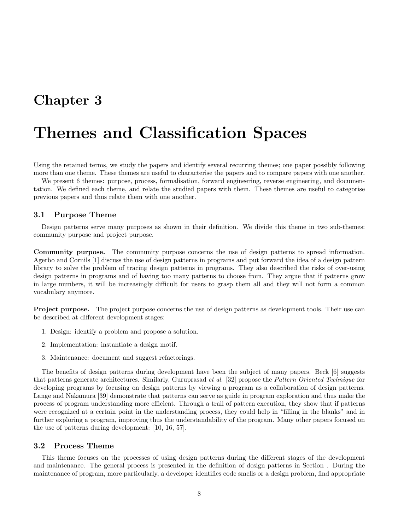## Themes and Classification Spaces

Using the retained terms, we study the papers and identify several recurring themes; one paper possibly following more than one theme. These themes are useful to characterise the papers and to compare papers with one another.

We present 6 themes: purpose, process, formalisation, forward engineering, reverse engineering, and documentation. We defined each theme, and relate the studied papers with them. These themes are useful to categorise previous papers and thus relate them with one another.

#### 3.1 Purpose Theme

Design patterns serve many purposes as shown in their definition. We divide this theme in two sub-themes: community purpose and project purpose.

Community purpose. The community purpose concerns the use of design patterns to spread information. Agerbo and Cornils [1] discuss the use of design patterns in programs and put forward the idea of a design pattern library to solve the problem of tracing design patterns in programs. They also described the risks of over-using design patterns in programs and of having too many patterns to choose from. They argue that if patterns grow in large numbers, it will be increasingly difficult for users to grasp them all and they will not form a common vocabulary anymore.

Project purpose. The project purpose concerns the use of design patterns as development tools. Their use can be described at different development stages:

- 1. Design: identify a problem and propose a solution.
- 2. Implementation: instantiate a design motif.
- 3. Maintenance: document and suggest refactorings.

The benefits of design patterns during development have been the subject of many papers. Beck [6] suggests that patterns generate architectures. Similarly, Guruprasad et al. [32] propose the Pattern Oriented Technique for developing programs by focusing on design patterns by viewing a program as a collaboration of design patterns. Lange and Nakamura [39] demonstrate that patterns can serve as guide in program exploration and thus make the process of program understanding more efficient. Through a trail of pattern execution, they show that if patterns were recognized at a certain point in the understanding process, they could help in "filling in the blanks" and in further exploring a program, improving thus the understandability of the program. Many other papers focused on the use of patterns during development: [10, 16, 57].

#### 3.2 Process Theme

This theme focuses on the processes of using design patterns during the different stages of the development and maintenance. The general process is presented in the definition of design patterns in Section . During the maintenance of program, more particularly, a developer identifies code smells or a design problem, find appropriate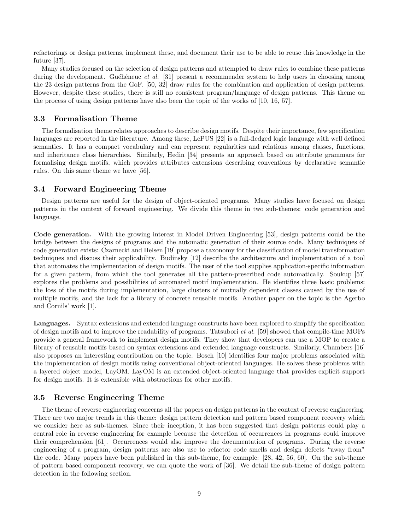refactorings or design patterns, implement these, and document their use to be able to reuse this knowledge in the future [37].

Many studies focused on the selection of design patterns and attempted to draw rules to combine these patterns during the development. Guéhéneuc et al. [31] present a recommender system to help users in choosing among the 23 design patterns from the GoF. [50, 32] draw rules for the combination and application of design patterns. However, despite these studies, there is still no consistent program/language of design patterns. This theme on the process of using design patterns have also been the topic of the works of [10, 16, 57].

#### 3.3 Formalisation Theme

The formalisation theme relates approaches to describe design motifs. Despite their importance, few specification languages are reported in the literature. Among these, LePUS [22] is a full-fledged logic language with well defined semantics. It has a compact vocabulary and can represent regularities and relations among classes, functions, and inheritance class hierarchies. Similarly, Hedin [34] presents an approach based on attribute grammars for formalising design motifs, which provides attributes extensions describing conventions by declarative semantic rules. On this same theme we have [56].

#### 3.4 Forward Engineering Theme

Design patterns are useful for the design of object-oriented programs. Many studies have focused on design patterns in the context of forward engineering. We divide this theme in two sub-themes: code generation and language.

Code generation. With the growing interest in Model Driven Engineering [53], design patterns could be the bridge between the designs of programs and the automatic generation of their source code. Many techniques of code generation exists: Czarnecki and Helsen [19] propose a taxonomy for the classification of model transformation techniques and discuss their applicability. Budinsky [12] describe the architecture and implementation of a tool that automates the implementation of design motifs. The user of the tool supplies application-specific information for a given pattern, from which the tool generates all the pattern-prescribed code automatically. Soukup [57] explores the problems and possibilities of automated motif implementation. He identifies three basic problems: the loss of the motifs during implementation, large clusters of mutually dependent classes caused by the use of multiple motifs, and the lack for a library of concrete reusable motifs. Another paper on the topic is the Agerbo and Cornils' work [1].

Languages. Syntax extensions and extended language constructs have been explored to simplify the specification of design motifs and to improve the readability of programs. Tatsubori et al. [59] showed that compile-time MOPs provide a general framework to implement design motifs. They show that developers can use a MOP to create a library of reusable motifs based on syntax extensions and extended language constructs. Similarly, Chambers [16] also proposes an interesting contribution on the topic. Bosch [10] identifies four major problems associated with the implementation of design motifs using conventional object-oriented languages. He solves these problems with a layered object model, LayOM. LayOM is an extended object-oriented language that provides explicit support for design motifs. It is extensible with abstractions for other motifs.

#### 3.5 Reverse Engineering Theme

The theme of reverse engineering concerns all the papers on design patterns in the context of reverse engineering. There are two major trends in this theme: design pattern detection and pattern based component recovery which we consider here as sub-themes. Since their inception, it has been suggested that design patterns could play a central role in reverse engineering for example because the detection of occurrences in programs could improve their comprehension [61]. Occurrences would also improve the documentation of programs. During the reverse engineering of a program, design patterns are also use to refactor code smells and design defects "away from" the code. Many papers have been published in this sub-theme, for example: [28, 42, 56, 60]. On the sub-theme of pattern based component recovery, we can quote the work of [36]. We detail the sub-theme of design pattern detection in the following section.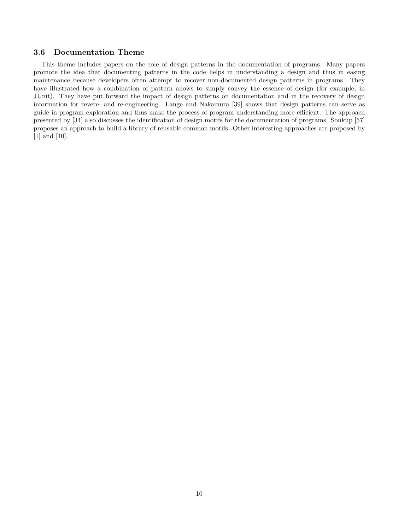#### 3.6 Documentation Theme

This theme includes papers on the role of design patterns in the documentation of programs. Many papers promote the idea that documenting patterns in the code helps in understanding a design and thus in easing maintenance because developers often attempt to recover non-documented design patterns in programs. They have illustrated how a combination of pattern allows to simply convey the essence of design (for example, in JUnit). They have put forward the impact of design patterns on documentation and in the recovery of design information for revere- and re-engineering. Lange and Nakamura [39] shows that design patterns can serve as guide in program exploration and thus make the process of program understanding more efficient. The approach presented by [34] also discusses the identification of design motifs for the documentation of programs. Soukup [57] proposes an approach to build a library of reusable common motifs. Other interesting approaches are proposed by [1] and [10].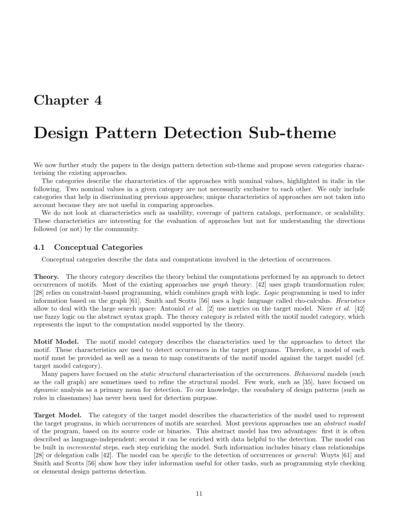# Design Pattern Detection Sub-theme

We now further study the papers in the design pattern detection sub-theme and propose seven categories characterising the existing approaches.

The categories describe the characteristics of the approaches with nominal values, highlighted in italic in the following. Two nominal values in a given category are not necessarily exclusive to each other. We only include categories that help in discriminating previous approaches; unique characteristics of approaches are not taken into account because they are not useful in comparing approaches.

We do not look at characteristics such as usability, coverage of pattern catalogs, performance, or scalability. These characteristics are interesting for the evaluation of approaches but not for understanding the directions followed (or not) by the community.

#### 4.1 Conceptual Categories

Conceptual categories describe the data and computations involved in the detection of occurrences.

Theory. The theory category describes the theory behind the computations performed by an approach to detect occurrences of motifs. Most of the existing approaches use graph theory: [42] uses graph transformation rules; [28] relies on constraint-based programming, which combines graph with logic. Logic programming is used to infer information based on the graph [61]. Smith and Scotts [56] uses a logic language called rho-calculus. Heuristics allow to deal with the large search space: Antoniol *et al.* [2] use metrics on the target model. Niere *et al.* [42] use fuzzy logic on the abstract syntax graph. The theory category is related with the motif model category, which represents the input to the computation model supported by the theory.

Motif Model. The motif model category describes the characteristics used by the approaches to detect the motif. These characteristics are used to detect occurrences in the target programs. Therefore, a model of each motif must be provided as well as a mean to map constituents of the motif model against the target model (cf. target model category).

Many papers have focused on the *static structural* characterisation of the occurrences. Behavioral models (such as the call graph) are sometimes used to refine the structural model. Few work, such as [35], have focused on dynamic analysis as a primary mean for detection. To our knowledge, the vocabulary of design patterns (such as roles in classnames) has never been used for detection purpose.

Target Model. The category of the target model describes the characteristics of the model used to represent the target programs, in which occurrences of motifs are searched. Most previous approaches use an *abstract model* of the program, based on its source code or binaries. This abstract model has two advantages: first it is often described as language-independent; second it can be enriched with data helpful to the detection. The model can be built in incremental steps, each step enriching the model. Such information includes binary class relationships [28] or delegation calls [42]. The model can be specific to the detection of occurrences or general: Wuyts [61] and Smith and Scotts [56] show how they infer information useful for other tasks, such as programming style checking or elemental design patterns detection.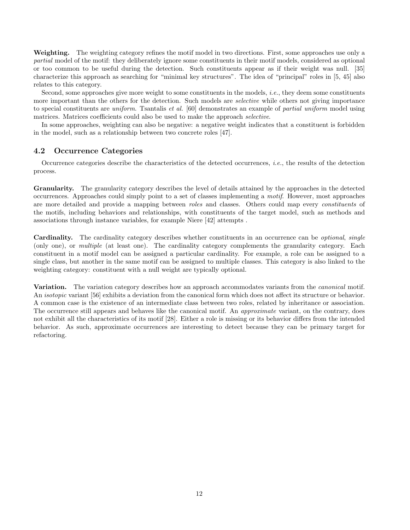Weighting. The weighting category refines the motif model in two directions. First, some approaches use only a partial model of the motif: they deliberately ignore some constituents in their motif models, considered as optional or too common to be useful during the detection. Such constituents appear as if their weight was null. [35] characterize this approach as searching for "minimal key structures". The idea of "principal" roles in [5, 45] also relates to this category.

Second, some approaches give more weight to some constituents in the models, i.e., they deem some constituents more important than the others for the detection. Such models are *selective* while others not giving importance to special constituents are uniform. Tsantalis et al. [60] demonstrates an example of partial uniform model using matrices. Matrices coefficients could also be used to make the approach selective.

In some approaches, weighting can also be negative: a negative weight indicates that a constituent is forbidden in the model, such as a relationship between two concrete roles [47].

#### 4.2 Occurrence Categories

Occurrence categories describe the characteristics of the detected occurrences, i.e., the results of the detection process.

Granularity. The granularity category describes the level of details attained by the approaches in the detected occurrences. Approaches could simply point to a set of classes implementing a motif. However, most approaches are more detailed and provide a mapping between roles and classes. Others could map every constituents of the motifs, including behaviors and relationships, with constituents of the target model, such as methods and associations through instance variables, for example Niere [42] attempts .

Cardinality. The cardinality category describes whether constituents in an occurrence can be *optional, single* (only one), or multiple (at least one). The cardinality category complements the granularity category. Each constituent in a motif model can be assigned a particular cardinality. For example, a role can be assigned to a single class, but another in the same motif can be assigned to multiple classes. This category is also linked to the weighting category: constituent with a null weight are typically optional.

Variation. The variation category describes how an approach accommodates variants from the *canonical* motif. An *isotopic* variant [56] exhibits a deviation from the canonical form which does not affect its structure or behavior. A common case is the existence of an intermediate class between two roles, related by inheritance or association. The occurrence still appears and behaves like the canonical motif. An *approximate* variant, on the contrary, does not exhibit all the characteristics of its motif [28]. Either a role is missing or its behavior differs from the intended behavior. As such, approximate occurrences are interesting to detect because they can be primary target for refactoring.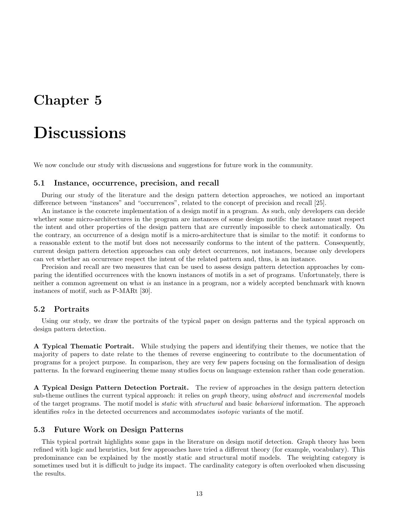# **Discussions**

We now conclude our study with discussions and suggestions for future work in the community.

#### 5.1 Instance, occurrence, precision, and recall

During our study of the literature and the design pattern detection approaches, we noticed an important difference between "instances" and "occurrences", related to the concept of precision and recall [25].

An instance is the concrete implementation of a design motif in a program. As such, only developers can decide whether some micro-architectures in the program are instances of some design motifs: the instance must respect the intent and other properties of the design pattern that are currently impossible to check automatically. On the contrary, an occurrence of a design motif is a micro-architecture that is similar to the motif: it conforms to a reasonable extent to the motif but does not necessarily conforms to the intent of the pattern. Consequently, current design pattern detection approaches can only detect occurrences, not instances, because only developers can vet whether an occurrence respect the intent of the related pattern and, thus, is an instance.

Precision and recall are two measures that can be used to assess design pattern detection approaches by comparing the identified occurrences with the known instances of motifs in a set of programs. Unfortunately, there is neither a common agreement on what is an instance in a program, nor a widely accepted benchmark with known instances of motif, such as P-MARt [30].

#### 5.2 Portraits

Using our study, we draw the portraits of the typical paper on design patterns and the typical approach on design pattern detection.

A Typical Thematic Portrait. While studying the papers and identifying their themes, we notice that the majority of papers to date relate to the themes of reverse engineering to contribute to the documentation of programs for a project purpose. In comparison, they are very few papers focusing on the formalisation of design patterns. In the forward engineering theme many studies focus on language extension rather than code generation.

A Typical Design Pattern Detection Portrait. The review of approaches in the design pattern detection sub-theme outlines the current typical approach: it relies on *graph* theory, using *abstract* and *incremental* models of the target programs. The motif model is static with structural and basic behavioral information. The approach identifies roles in the detected occurrences and accommodates isotopic variants of the motif.

#### 5.3 Future Work on Design Patterns

This typical portrait highlights some gaps in the literature on design motif detection. Graph theory has been refined with logic and heuristics, but few approaches have tried a different theory (for example, vocabulary). This predominance can be explained by the mostly static and structural motif models. The weighting category is sometimes used but it is difficult to judge its impact. The cardinality category is often overlooked when discussing the results.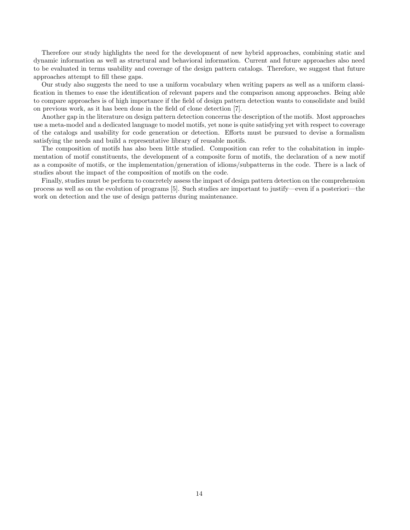Therefore our study highlights the need for the development of new hybrid approaches, combining static and dynamic information as well as structural and behavioral information. Current and future approaches also need to be evaluated in terms usability and coverage of the design pattern catalogs. Therefore, we suggest that future approaches attempt to fill these gaps.

Our study also suggests the need to use a uniform vocabulary when writing papers as well as a uniform classification in themes to ease the identification of relevant papers and the comparison among approaches. Being able to compare approaches is of high importance if the field of design pattern detection wants to consolidate and build on previous work, as it has been done in the field of clone detection [7].

Another gap in the literature on design pattern detection concerns the description of the motifs. Most approaches use a meta-model and a dedicated language to model motifs, yet none is quite satisfying yet with respect to coverage of the catalogs and usability for code generation or detection. Efforts must be pursued to devise a formalism satisfying the needs and build a representative library of reusable motifs.

The composition of motifs has also been little studied. Composition can refer to the cohabitation in implementation of motif constituents, the development of a composite form of motifs, the declaration of a new motif as a composite of motifs, or the implementation/generation of idioms/subpatterns in the code. There is a lack of studies about the impact of the composition of motifs on the code.

Finally, studies must be perform to concretely assess the impact of design pattern detection on the comprehension process as well as on the evolution of programs [5]. Such studies are important to justify—even if a posteriori—the work on detection and the use of design patterns during maintenance.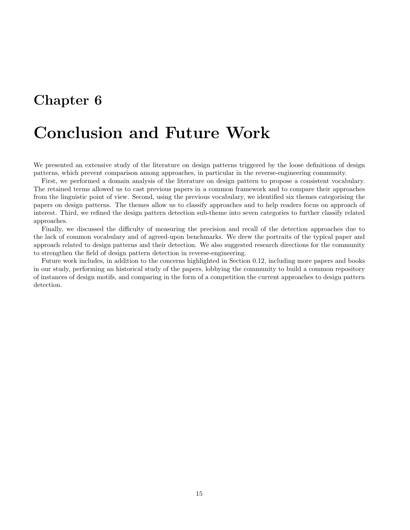## Conclusion and Future Work

We presented an extensive study of the literature on design patterns triggered by the loose definitions of design patterns, which prevent comparison among approaches, in particular in the reverse-engineering community.

First, we performed a domain analysis of the literature on design pattern to propose a consistent vocabulary. The retained terms allowed us to cast previous papers in a common framework and to compare their approaches from the linguistic point of view. Second, using the previous vocabulary, we identified six themes categorising the papers on design patterns. The themes allow us to classify approaches and to help readers focus on approach of interest. Third, we refined the design pattern detection sub-theme into seven categories to further classify related approaches.

Finally, we discussed the difficulty of measuring the precision and recall of the detection approaches due to the lack of common vocabulary and of agreed-upon benchmarks. We drew the portraits of the typical paper and approach related to design patterns and their detection. We also suggested research directions for the community to strengthen the field of design pattern detection in reverse-engineering.

Future work includes, in addition to the concerns highlighted in Section 0.12, including more papers and books in our study, performing an historical study of the papers, lobbying the community to build a common repository of instances of design motifs, and comparing in the form of a competition the current approaches to design pattern detection.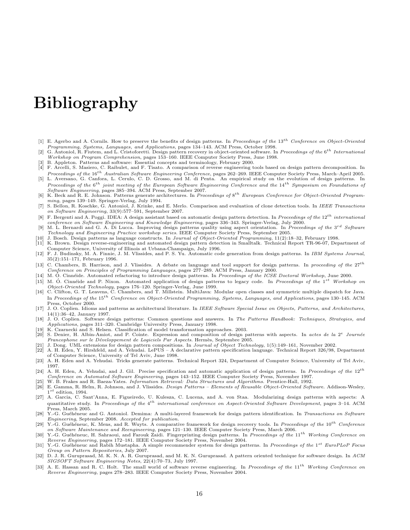# Bibliography

- [1] E. Agerbo and A. Cornils. How to preserve the benefits of design patterns. In Proceedings of the  $13<sup>th</sup>$  Conference on Object-Oriented Programming, Systems, Languages, and Applications, pages 134–143. ACM Press, October 1998.
- [2] G. Antoniol, R. Fiutem, and L. Cristoforetti. Design pattern recovery in object-oriented software. In Proceedings of the  $6^{th}$  International Workshop on Program Comprehension, pages 153–160. IEEE Computer Society Press, June 1998.
- [3] B. Appleton. Patterns and software: Essential concepts and terminology, February 2000.
- [4] F. Arcelli, S. Masiero, C. Raibulet, and F. Tisato. A comparison of reverse engineering tools based on design pattern decomposition. In *Proceedings of the* 16<sup>th</sup> Australian Software Engineering Conference, pages 262–269. IEEE Computer Society Press, March–April 2005.<br>[5] L. Aversano, G. Canfora, L. Cerulo, C. D. Grosso, and M. di Penta. An empirical stud
- Proceedings of the  $6^{th}$  joint meeting of the European Software Engineering Conference and the  $14^{th}$  Symposium on Foundations of Software Engineering, pages 385–394. ACM Press, September 2007.
- [6] K. Beck and R. E. Johnson. Patterns generate architectures. In Proceedings of  $8^{th}$  European Conference for Object-Oriented Programming, pages 139–149. Springer-Verlag, July 1994.<br>[7] S. Bellon, R. Koschke, G. Antoniol, J. Krinke, and E. Merlo. Comparison and evaluation of clone detection tools. In *IEEE Transactions*
- on Software Engineering, 33(9):577–591, September 2007.
- [8] F. Bergenti and A. Poggi. IDEA: A design assistant based on automatic design pattern detection. In Proceedings of the  $12^{th}$  international conference on Software Engineering and Knowledge Engineering, pages 336–343. Springer-Verlag, July 2000.
- [9] M. L. Bernardi and G. A. Di Lucca. Improving design patterns quality using aspect orientation. In *Proceedings of the*  $3^{rd}$  Software Technology and Engineering Practice workshop series. IEEE Computer Society Press, September 2005.
- [10] J. Bosch. Design patterns as language constructs. In Journal of Object-Oriented Programming, 11(2):18–32, February 1998.<br>[11] K. Brown. Design reverse-engineering and automated design pattern detection in Smalltalk.
- [11] K. Brown. Design reverse-engineering and automated design pattern detection in Smalltalk. Technical Report TR-96-07, Department of Computer Science, University of Illinois at Urbana-Champaign, July 1996.
- [12] F. J. Budinsky, M. A. Finnie, J. M. Vlissides, and P. S. Yu. Automatic code generation from design patterns. In IBM Systems Journal, 35(2):151–171, February 1996.
- [13] C. Chambers, B. Harrison, and J. Vlissides. A debate on language and tool support for design patterns. In proceeding of the  $27<sup>th</sup>$ Conference on Principles of Programming Languages, pages 277–289. ACM Press, January 2000.
- [14] M. O. Cinnéide. Automated refactoring to introduce design patterns. In Proceedings of the ICSE Doctoral Workshop, June 2000.
- [15] M. Ó. Cinnéide and P. Nixon. Automated application of design patterns to legacy code. In Proceedings of the  $1^{st}$  Workshop on Object-Oriented Technology, pages 176–120. Springer-Verlag, June 1999.<br>
[16] C. Clifton, G. T. Leavens, C. Chambers, and T. Millstein. MultiJava: Modular open classes and symmetric multiple dispatch for Java.
- In Proceedings of the 15<sup>th</sup> Conference on Object-Oriented Programming, Systems, Languages, and Applications, pages 130–145. ACM Press, October 2000.
- [17] J. O. Coplien. Idioms and patterns as architectural literature. In IEEE Software Special Issue on Objects, Patterns, and Architectures, 14(1):36–42, January 1997.
- [18] J. O. Coplien. Software design patterns: Common questions and answers. In The Patterns Handbook: Techniques, Strategies, and Applications, pages 311–320. Cambridge University Press, January 1998.
- [19] K. Czarnecki and S. Helsen. Classification of model transformation approaches. 2003. [20] S. Denier, H. Albin-Amiot, and P. Cointe. Expression and composition of design patterns with aspects. In actes de la  $2^e$  Journée Francophone sur le Développement de Logiciels Par Aspects. Hermès, Septembre 2005.
- [21] J. Dong. UML extensions for design pattern compositions. In Journal of Object Technology, 1(5):149–161, November 2002.<br>[22] A. H. Eden, Y. Hirshfeld, and A. Yehudai, LePUS A declarative pattern specification languag
- [22] A. H. Eden, Y. Hirshfeld, and A. Yehudai. LePUS A declarative pattern specification language. Technical Report 326/98, Department of Computer Science, University of Tel Aviv, June 1998.
- [23] A. H. Eden and A. Yehudai. Tricks generate patterns. Technical Report 324, Department of Computer Science, University of Tel Aviv, 1997.
- [24] A. H. Eden, A. Yehudai, and J. Gil. Precise specification and automatic application of design patterns. In Proceedings of the  $12^{th}$ Conference on Automated Software Engineering, pages 143–152. IEEE Computer Society Press, November 1997.
- 
- [25] W. B. Frakes and R. Baeza-Yates. *Information Retrieval: Data Structures and Algorithms*. Prentice-Hall, 1992.<br>[26] E. Gamma, R. Helm, R. Johnson, and J. Vlissides. *Design Patterns Elements of Reusable Object-Orien* E. Gamma, R. Helm, R. Johnson, and J. Vlissides. Design Patterns - Elements of Reusable Object-Oriented Software. Addison-Wesley,  $1^{st}$  edition, 1994.
- [27] A. Garcia, C. Sant'Anna, E. Figueiredo, U. Kulesza, C. Lucena, and A. von Staa. Modularizing design patterns with aspects: A quantitative study. In Proceedings of the  $4^{th}$  international conference on Aspect-Oriented Software Development, pages 3–14. ACM Press, March 2005.
- [28] Y.-G. Guéhéneuc and G. Antoniol. Demima: A multi-layered framework for design pattern identification. In Transactions on Software Engineering, September 2008. Accepted for publication.
- [29] Y.-G. Guéhéneuc, K. Mens, and R. Wuyts. A comparative framework for design recovery tools. In Proceedings of the 10<sup>th</sup> Conference on Software Maintenance and Reengineering, pages 121–130. IEEE Computer Society Press, March 2006.<br>[30] Y.-G. Guéhéneuc, H. Sahraoui, and Farouk Zaidi. Fingerprinting design patterns. In Proceedings of the 11<sup>th</sup> Working C
- Reverse Engineering, pages 172–181. IEEE Computer Society Press, November 2004.
- [31] Y.-G. Guéhéneuc and Rabih Mustapha. A simple recommender system for design patterns. In Proceedings of the 1<sup>st</sup> EuroPLoP Focus Group on Pattern Repositories, July 2007.
- [32] D. J. R. Guruprasad, M. K. N. A. R. Guruprasad, and M. K. N. Guruprasad. A pattern oriented technique for software design. In ACM SIGSOFT Software Engineering Notes, 22(4):70–73, July 1997.
- [33] A. E. Hassan and R. C. Holt. The small world of software reverse engineering. In Proceedings of the 11<sup>th</sup> Working Conference on<br>Reverse Engineering, pages 278–283. IEEE Computer Society Press, November 2004.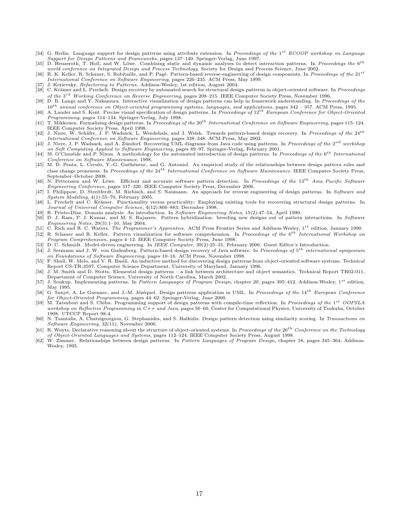- [34] G. Hedin. Language support for design patterns using attribute extension. In Proceedings of the  $1^{st}$  ECOOP workshop on Language Support for Design Patterns and Frameworks, pages 137–140. Springer-Verlag, June 1997.
- [35] D. Heuzeroth, T. Holl, and W. Löwe. Combining static and dynamic analyses to detect interaction patterns. In Proceedings the  $6^{th}$ world conference on Integrated Design and Process Technology. Society for Design and Process Science, June 2002.
- [36] R. K. Keller, R. Schauer, S. Robitaille, and P. Pagé. Pattern-based reverse-engineering of design components. In Proceedings of the 21st International Conference on Software Engineering, pages 226–235. ACM Press, May 1999.
- J. Kerievsky. Refactoring to Patterns. Addison-Wesley, 1st edition, August 2004. [38] C. Krämer and L. Prechelt. Design recovery by automated search for structural design patterns in object-oriented software. In Proceedings
- of the 3<sup>rd</sup> Working Conference on Reverse Engineering, pages 208–215. IEEE Computer Society Press, November 1996. [39] D. B. Lange and Y. Nakamura. Interactive visualization of design patterns can help in framework understanding. In Proceedings of the
- $10^{th}$  annual conference on Object-oriented programming systems, languages, and applications, pages 342 357. ACM Press, 1995.<br>[40] A. Lauder and S. Kent. Precise visual specification of design patterns. In Proceedings
- Programming, pages 114–134. Springer-Verlag, July 1998.<br>[41] T. Mikkonen. Formalizing design patterns. In Proceedings of the 20<sup>th</sup> International Conference on Software Engineering, pages 115–124. IEEE Computer Society Press, April 1998.
- [42] J. Niere, W. Schäfer, J. P. Wadsack, L. Wendehals, and J. Welsh. Towards pattern-based design recovery. In Proceedings of the  $24^{th}$ International Conference on Software Engineering, pages 338–348. ACM Press, May 2002.<br>[43] J. Niere, J. P. Wadsack, and A. Zündorf. Recovering UML diagrams from Java code using patterns. In Proceedings of the 2<sup>nd</sup> worksho
- on Soft Computing Applied to Software Engineering, pages 89–97. Springer-Verlag, February 2001.
- [44] M. O'Cinnéide and P. Nixon. A methodology for the automated introduction of design patterns. In Proceedings of the  $6^{th}$  International Conference on Software Maintenance, 1998.
- [45] M. D. Penta, L. Cerulo, Y.-G. Guéhéneuc, and G. Antoniol. An empirical study of the relationships between design pattern roles and class change proneness. In Proceedings of the  $24^{th}$  International Conference on Software Maintenance. IEEE Computer Society Press, September–October 2008.
- [46] N. Pettersson and W. Löwe. Efficient and accurate software pattern detection. In Proceedings of the  $13^{th}$  Asia Pacific Software Engineering Conference, pages 317–326. IEEE Computer Society Press, December 2006.
- [47] I. Philippow, D. Streitferdt, M. Riebisch, and S. Naumann. An approach for reverse engineering of design patterns. In Software and  $System\ Modeling, 4(1):55–70, February\ 2005.$
- [48] L. Prechelt and C. Krämer. Functionality versus practicality: Employing existing tools for recovering structural design patterns. In Journal of Universal Computer Science, 4(12):866–883, December 1998.
- [49] R. Prieto-Díaz. Domain analysis: An introduction. In Software Engineering Notes, 15(2):47–54, April 1990.<br>[50] D. J. Ram, P. J. Kumar, and M. S. Rajasree. Pattern hybridization: breeding new designs out of pattern int
- Engineering Notes, 29(3):1–10, May 2004.
- [51] C. Rich and R. C. Waters. The Programmer's Apprentice. ACM Press Frontier Series and Addison-Wesley, 1st edition, January 1990. [52] R. Schauer and R. Keller. Pattern visualization for software comprehension. In Proceedings of the 6<sup>th</sup> International Workshop on
- Program Comprehension, pages 4–12. IEEE Computer Society Press, June 1998.
- [53] D. C. Schmidt. Model-driven engineering. In IEEE Computer, 39(2):25–31, February 2006. Guest Editor's Introduction.
- [54] J. Seemann and J. W. von Gudenberg. Pattern-based design recovery of Java software. In Proceedings of 5<sup>th</sup> international symposium on Foundations of Software Engineering, pages 10–16. ACM Press, November 1998.
- [55] F. Shull, W. Melo, and V. R. Basili. An inductive method for discovering design patterns from object-oriented software systems. Technical Report CS-TR-3597, Computer Science Department, University of Maryland, January 1996.
- [56] J. M. Smith and D. Stotts. Elemental design patterns a link between architecture and object semantics. Technical Report TR02-011, Department of Computer Science, University of North Carolina, March 2002.
- [57] J. Soukup. Implementing patterns. In Pattern Languages of Program Design, chapter 20, pages 395-412. Addison-Wesley, 1st edition, May 1995.
- [58] G. Sunyé, A. Le Guennec, and J.-M. Jézéquel. Design patterns application in UML. In Proceedings of the  $14^{th}$  European Conference for Object-Oriented Programming, pages 44–62. Springer-Verlag, June 2000.
- [59] M. Tatsubori and S. Chiba. Programming support of design patterns with compile-time reflection. In Proceedings of the 1<sup>st</sup> OOPSLA workshop on Reflective Programming in  $C++$  and Java, pages 56–60. Center for Computat 1998. UTCCP Report 98-4.
- [60] N. Tsantalis, A. Chatzigeorgiou, G. Stephanides, and S. Halkidis. Design pattern detection using similarity scoring. In Transactions on Software Engineering, 32(11), November 2006.
- [61] R. Wuyts. Declarative reasoning about the structure of object-oriented systems. In Proceedings of the 26<sup>th</sup> Conference on the Technology of Object-Oriented Languages and Systems, pages 112–124. IEEE Computer Society Press, August 1998.
- [62] W. Zimmer. Relationships between design patterns. In Pattern Languages of Program Design, chapter 18, pages 345–364. Addison-Wesley, 1995.